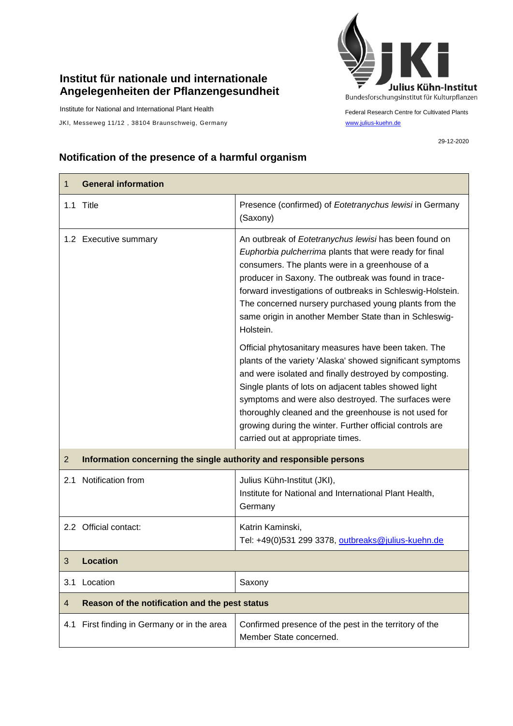## **Institut für nationale und internationale Angelegenheiten der Pflanzengesundheit**

Institute for National and International Plant Health

JKI, Messeweg 11/12, 38104 Braunschweig, Germany [www.julius-kuehn.de](http://www.julius-kuehn.de/)



Federal Research Centre for Cultivated Plants

29-12-2020

## **Notification of the presence of a harmful organism**

| 1              | <b>General information</b>                                          |                                                                                                                                                                                                                                                                                                                                                                                                                                                        |  |
|----------------|---------------------------------------------------------------------|--------------------------------------------------------------------------------------------------------------------------------------------------------------------------------------------------------------------------------------------------------------------------------------------------------------------------------------------------------------------------------------------------------------------------------------------------------|--|
|                | 1.1 Title                                                           | Presence (confirmed) of Eotetranychus lewisi in Germany<br>(Saxony)                                                                                                                                                                                                                                                                                                                                                                                    |  |
|                | 1.2 Executive summary                                               | An outbreak of Eotetranychus lewisi has been found on<br>Euphorbia pulcherrima plants that were ready for final<br>consumers. The plants were in a greenhouse of a<br>producer in Saxony. The outbreak was found in trace-<br>forward investigations of outbreaks in Schleswig-Holstein.<br>The concerned nursery purchased young plants from the<br>same origin in another Member State than in Schleswig-<br>Holstein.                               |  |
|                |                                                                     | Official phytosanitary measures have been taken. The<br>plants of the variety 'Alaska' showed significant symptoms<br>and were isolated and finally destroyed by composting.<br>Single plants of lots on adjacent tables showed light<br>symptoms and were also destroyed. The surfaces were<br>thoroughly cleaned and the greenhouse is not used for<br>growing during the winter. Further official controls are<br>carried out at appropriate times. |  |
| $\overline{2}$ | Information concerning the single authority and responsible persons |                                                                                                                                                                                                                                                                                                                                                                                                                                                        |  |
| 2.1            | Notification from                                                   | Julius Kühn-Institut (JKI),<br>Institute for National and International Plant Health,<br>Germany                                                                                                                                                                                                                                                                                                                                                       |  |
|                | 2.2 Official contact:                                               | Katrin Kaminski,<br>Tel: +49(0)531 299 3378, outbreaks@julius-kuehn.de                                                                                                                                                                                                                                                                                                                                                                                 |  |
| 3              | <b>Location</b>                                                     |                                                                                                                                                                                                                                                                                                                                                                                                                                                        |  |
| 3.1            | Location                                                            | Saxony                                                                                                                                                                                                                                                                                                                                                                                                                                                 |  |
| 4              | Reason of the notification and the pest status                      |                                                                                                                                                                                                                                                                                                                                                                                                                                                        |  |
| 4.1            | First finding in Germany or in the area                             | Confirmed presence of the pest in the territory of the<br>Member State concerned.                                                                                                                                                                                                                                                                                                                                                                      |  |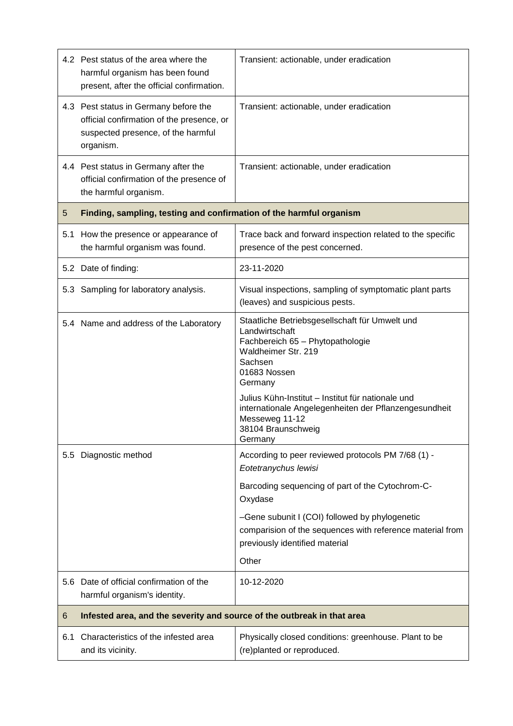|                  | 4.2 Pest status of the area where the<br>harmful organism has been found<br>present, after the official confirmation.                 | Transient: actionable, under eradication                                                                                                                                                                                                                                                                                           |  |
|------------------|---------------------------------------------------------------------------------------------------------------------------------------|------------------------------------------------------------------------------------------------------------------------------------------------------------------------------------------------------------------------------------------------------------------------------------------------------------------------------------|--|
|                  | 4.3 Pest status in Germany before the<br>official confirmation of the presence, or<br>suspected presence, of the harmful<br>organism. | Transient: actionable, under eradication                                                                                                                                                                                                                                                                                           |  |
|                  | 4.4 Pest status in Germany after the<br>official confirmation of the presence of<br>the harmful organism.                             | Transient: actionable, under eradication                                                                                                                                                                                                                                                                                           |  |
| 5                | Finding, sampling, testing and confirmation of the harmful organism                                                                   |                                                                                                                                                                                                                                                                                                                                    |  |
| 5.1              | How the presence or appearance of<br>the harmful organism was found.                                                                  | Trace back and forward inspection related to the specific<br>presence of the pest concerned.                                                                                                                                                                                                                                       |  |
|                  | 5.2 Date of finding:                                                                                                                  | 23-11-2020                                                                                                                                                                                                                                                                                                                         |  |
|                  | 5.3 Sampling for laboratory analysis.                                                                                                 | Visual inspections, sampling of symptomatic plant parts<br>(leaves) and suspicious pests.                                                                                                                                                                                                                                          |  |
|                  | 5.4 Name and address of the Laboratory                                                                                                | Staatliche Betriebsgesellschaft für Umwelt und<br>Landwirtschaft<br>Fachbereich 65 - Phytopathologie<br>Waldheimer Str. 219<br>Sachsen<br>01683 Nossen<br>Germany<br>Julius Kühn-Institut - Institut für nationale und<br>internationale Angelegenheiten der Pflanzengesundheit<br>Messeweg 11-12<br>38104 Braunschweig<br>Germany |  |
| 5.5 <sub>1</sub> | Diagnostic method                                                                                                                     | According to peer reviewed protocols PM 7/68 (1) -<br>Eotetranychus lewisi                                                                                                                                                                                                                                                         |  |
|                  |                                                                                                                                       | Barcoding sequencing of part of the Cytochrom-C-<br>Oxydase                                                                                                                                                                                                                                                                        |  |
|                  |                                                                                                                                       | -Gene subunit I (COI) followed by phylogenetic<br>comparision of the sequences with reference material from<br>previously identified material                                                                                                                                                                                      |  |
|                  |                                                                                                                                       | Other                                                                                                                                                                                                                                                                                                                              |  |
|                  | 5.6 Date of official confirmation of the<br>harmful organism's identity.                                                              | 10-12-2020                                                                                                                                                                                                                                                                                                                         |  |
| 6                | Infested area, and the severity and source of the outbreak in that area                                                               |                                                                                                                                                                                                                                                                                                                                    |  |
| 6.1              | Characteristics of the infested area<br>and its vicinity.                                                                             | Physically closed conditions: greenhouse. Plant to be<br>(re)planted or reproduced.                                                                                                                                                                                                                                                |  |